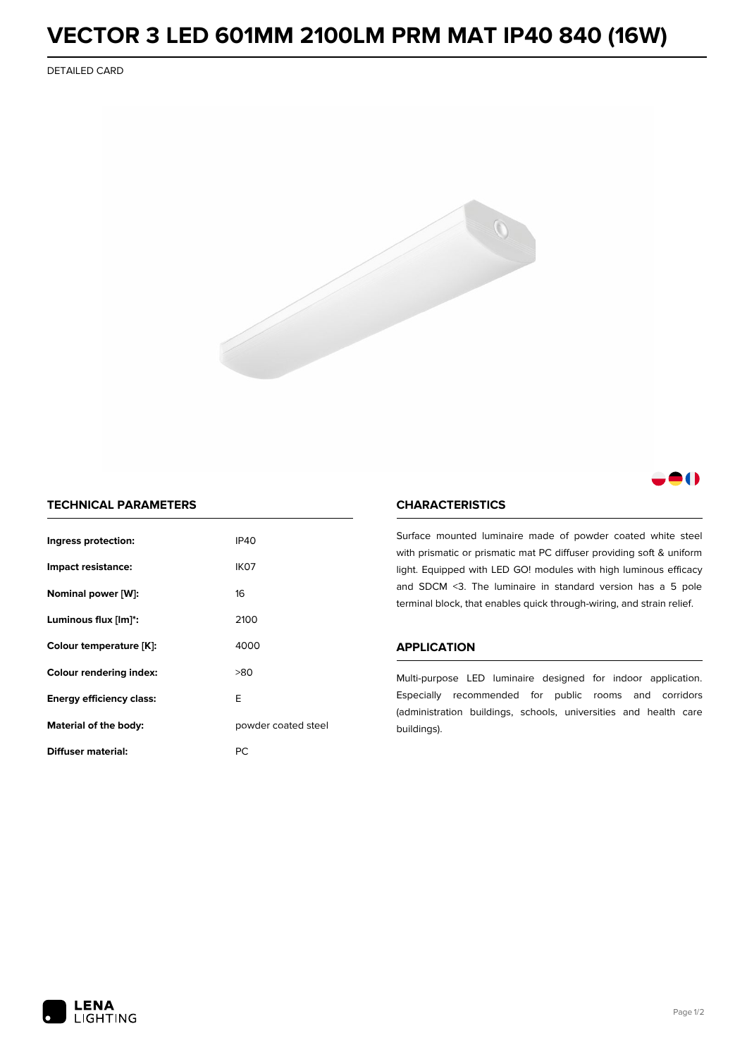# **VECTOR 3 LED 601MM 2100LM PRM MAT IP40 840 (16W)**

DETAILED CARD



## 8 O

### **TECHNICAL PARAMETERS**

| Ingress protection:                          | <b>IP40</b>      |  |
|----------------------------------------------|------------------|--|
| Impact resistance:                           | IK <sub>07</sub> |  |
| Nominal power [W]:                           | 16               |  |
| Luminous flux [lm]*:                         | 2100             |  |
| Colour temperature [K]:                      | 4000             |  |
| <b>Colour rendering index:</b>               | >80              |  |
| Energy efficiency class:                     | F                |  |
| Material of the body:<br>powder coated steel |                  |  |
| Diffuser material:                           | РC               |  |

### **CHARACTERISTICS**

Surface mounted luminaire made of powder coated white steel with prismatic or prismatic mat PC diffuser providing soft & uniform light. Equipped with LED GO! modules with high luminous efficacy and SDCM <3. The luminaire in standard version has a 5 pole terminal block, that enables quick through-wiring, and strain relief.

#### **APPLICATION**

Multi-purpose LED luminaire designed for indoor application. Especially recommended for public rooms and corridors (administration buildings, schools, universities and health care buildings).